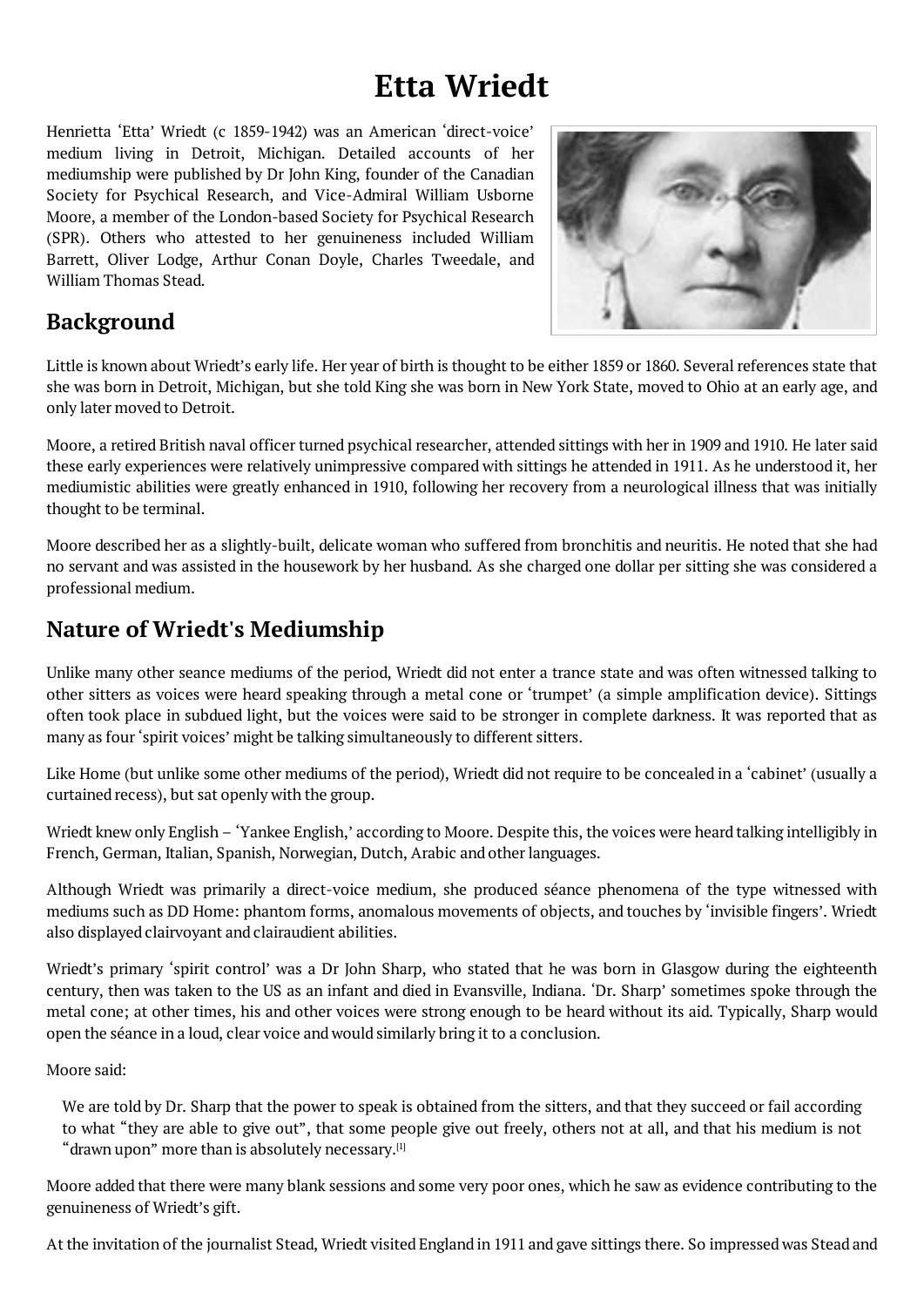### **Etta Wriedt**

<span id="page-0-0"></span>Henrietta 'Etta' Wriedt (c 1859-1942) was an American 'direct-voice' medium living in Detroit, Michigan. Detailed accounts of her mediumship were published by Dr John King, founder of the Canadian Society for Psychical Research, and Vice-Admiral William Usborne Moore, a member of the London-based Society for Psychical Research (SPR). Others who attested to her genuineness included William Barrett, Oliver Lodge, Arthur Conan Doyle, Charles Tweedale, and William Thomas Stead.



# **Background**

Little is known about Wriedt's early life. Her year of birth is thought to be either 1859 or 1860. Several references state that she was born in Detroit, Michigan, but she told King she was born in New York State, moved to Ohio at an early age, and only later moved to Detroit.

Moore, a retired British naval officer turned psychical researcher, attended sittings with her in 1909 and 1910. He later said these early experiences were relatively unimpressive compared with sittings he attended in 1911. As he understood it, her mediumistic abilities were greatly enhanced in 1910, following her recovery from a neurological illness that was initially thought to be terminal.

Moore described her as a slightly-built, delicate woman who suffered from bronchitis and neuritis. He noted that she had no servant and was assisted in the housework by her husband. As she charged one dollar per sitting she was considered a professional medium.

## **Nature of Wriedt's Mediumship**

Unlike many other seance mediums of the period, Wriedt did not enter a trance state and was often witnessed talking to other sitters as voices were heard speaking through a metal cone or 'trumpet' (a simple amplification device). Sittings often took place in subdued light, but the voices were said to be stronger in complete darkness. It was reported that as many as four'spirit voices' might be talking simultaneously to different sitters.

Like Home (but unlike some other mediums of the period), Wriedt did not require to be concealed in a 'cabinet' (usually a curtained recess), but sat openly with the group.

Wriedt knew only English – 'Yankee English,' according to Moore. Despite this, the voices were heard talking intelligibly in French, German, Italian, Spanish, Norwegian, Dutch, Arabic and other languages.

Although Wriedt was primarily a direct-voice medium, she produced séance phenomena of the type witnessed with mediums such as DD Home: phantom forms, anomalous movements of objects, and touches by 'invisible fingers'. Wriedt also displayed clairvoyant and clairaudient abilities.

Wriedt's primary 'spirit control' was a Dr John Sharp, who stated that he was born in Glasgow during the eighteenth century, then was taken to the US as an infant and died in Evansville, Indiana. 'Dr. Sharp' sometimes spoke through the metal cone; at other times, his and other voices were strong enough to be heard without its aid. Typically, Sharp would open the séance in a loud, clear voice and would similarly bring it to a conclusion.

Moore said:

We are told by Dr. Sharp that the power to speak is obtained from the sitters, and that they succeed or fail according to what "they are able to give out", that some people give out freely, others not at all, and that his medium is not "drawn upon" more than is absolutely necessary.<sup>[1]</sup>

Moore added that there were many blank sessions and some very poor ones, which he saw as evidence contributing to the genuineness of Wriedt's gift.

At the invitation of the journalist Stead, Wriedt visited England in 1911 and gave sittings there. So impressed was Stead and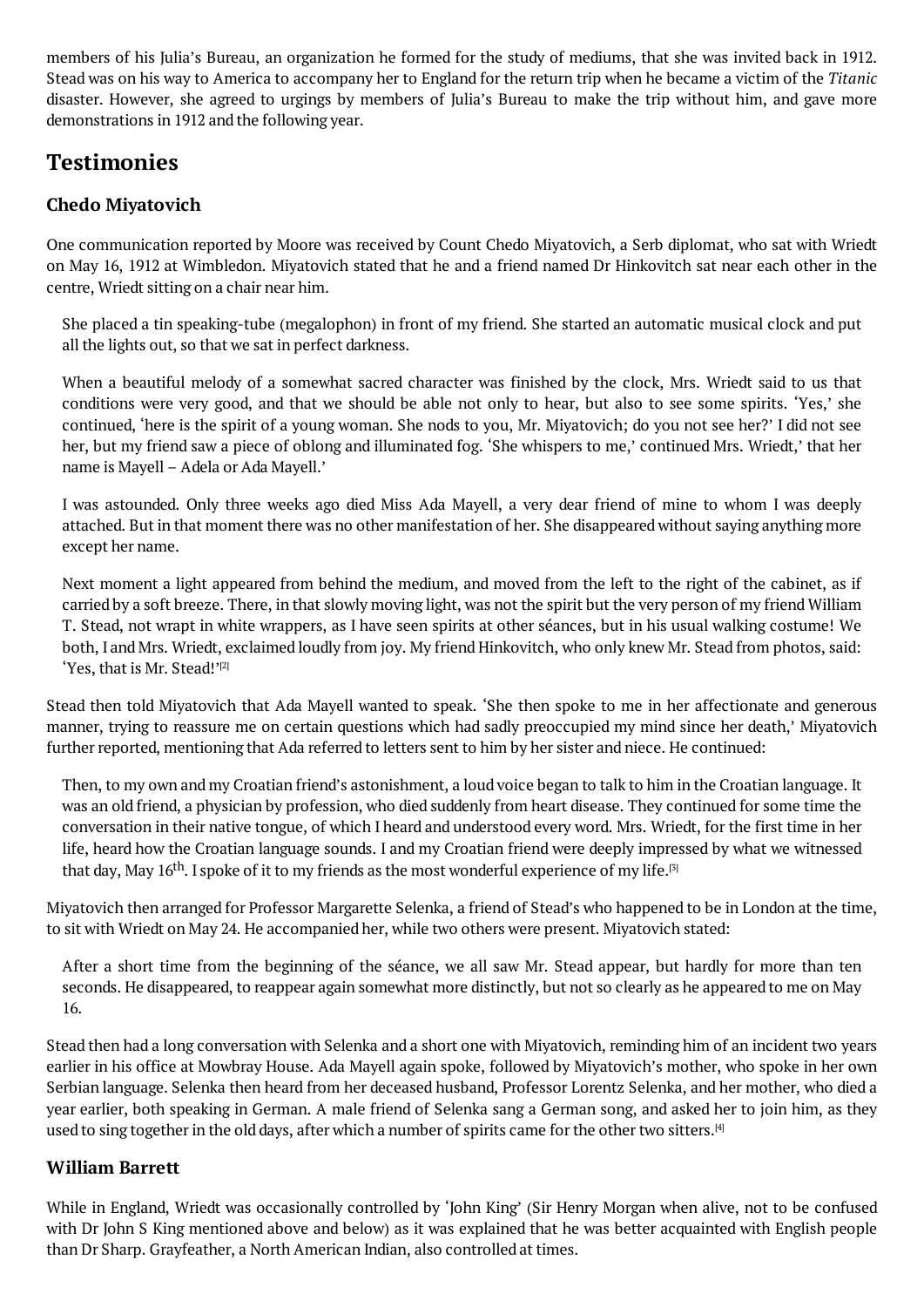Stead was on his way to America to accompany her to England for the return trip when he became a victim of the *Titanic* disaster. However, she agreed to urgings by members of Julia's Bureau to make the trip without him, and gave more demonstrations in 1912 and the following year.

## **Testimonies**

### **Chedo Miyatovich**

One communication reported by Moore was received by Count Chedo Miyatovich, a Serb diplomat, who sat with Wriedt on May 16, 1912 at Wimbledon. Miyatovich stated that he and a friend named Dr Hinkovitch sat near each other in the centre, Wriedt sitting on a chair near him.

She placed a tin speaking-tube (megalophon) in front of my friend. She started an automatic musical clock and put all the lights out, so that we sat in perfect darkness.

When a beautiful melody of a somewhat sacred character was finished by the clock, Mrs. Wriedt said to us that conditions were very good, and that we should be able not only to hear, but also to see some spirits. 'Yes,' she continued, 'here is the spirit of a young woman. She nods to you, Mr. Miyatovich; do you not see her?' I did not see her, but my friend saw a piece of oblong and illuminated fog. 'She whispers to me,' continued Mrs. Wriedt,' that her name is Mayell – Adela or Ada Mayell.'

I was astounded. Only three weeks ago died Miss Ada Mayell, a very dear friend of mine to whom I was deeply attached. But in that moment there was no other manifestation of her. She disappeared without saying anything more except her name.

Next moment a light appeared from behind the medium, and moved from the left to the right of the cabinet, as if carried by a soft breeze. There, in that slowly moving light, was not the spirit but the very person of my friend William T. Stead, not wrapt in white wrappers, as I have seen spirits at other séances, but in his usual walking costume! We both, I and Mrs. Wriedt, exclaimed loudly from joy. My friend Hinkovitch, who only knew Mr. Stead from photos, said: 'Yes, that is Mr. Stead!' [2]

Stead then told Miyatovich that Ada Mayell wanted to speak. 'She then spoke to me in her affectionate and generous manner, trying to reassure me on certain questions which had sadly preoccupied my mind since her death,' Miyatovich further reported, mentio[nin](#page-0-0)g that Ada referred to letters sent to him by her sister and niece. He continued:

Then, to my own and my Croatian friend's astonishment, a loud voice began to talk to him in the Croatian language. It was an old friend, a physician by profession, who died suddenly from heart disease. They continued for some time the conversation in their native tongue, of which I heard and understood every word. Mrs. Wriedt, for the first time in her life, heard how the Croatian language sounds. I and my Croatian friend were deeply impressed by what we witnessed that day, May 16<sup>th</sup>. I spoke of it to my friends as the most wonderful experience of my life.<sup>[3]</sup>

Miyatovich then arranged for Professor Margarette Selenka, a friend of Stead's who happened to be in London at the time, to sit with Wriedt on May 24. He accompanied her, while two others were present. Miyatovich stated:

After a short time from the beginning of the séance, we all saw Mr. Stead appear, but hardly for more than ten seconds. He disappeared, to reappear again somewhat more distinctly, but not so clearly as he appeared to me on May 16.

Stead then had a long conversation with Selenka and a short one with Miyatovich, reminding him of an incident two years earlier in his office at Mowbray House. Ada Mayell again spoke, followed by Miyatovich's mother, who spoke in her own Serbian language. Selenka then heard from her deceased husband, Professor Lorentz Selenka, and her mother, who died a year earlier, both speaking in German. A male friend of Selenka sang a German song, and asked her to join him, as they used to sing together in the old days, after which a number of spirits came for the other two sitters.<sup>[4]</sup>

#### **William Barrett**

While in England, Wriedt was occasionally controlled by 'John King' (Sir Henry Morgan when al[iv](#page-0-0)e, not to be confused with Dr John S King mentioned above and below) as it was explained that he was better acquainted with English people than Dr Sharp. Grayfeather, a North American Indian, also controlled at times.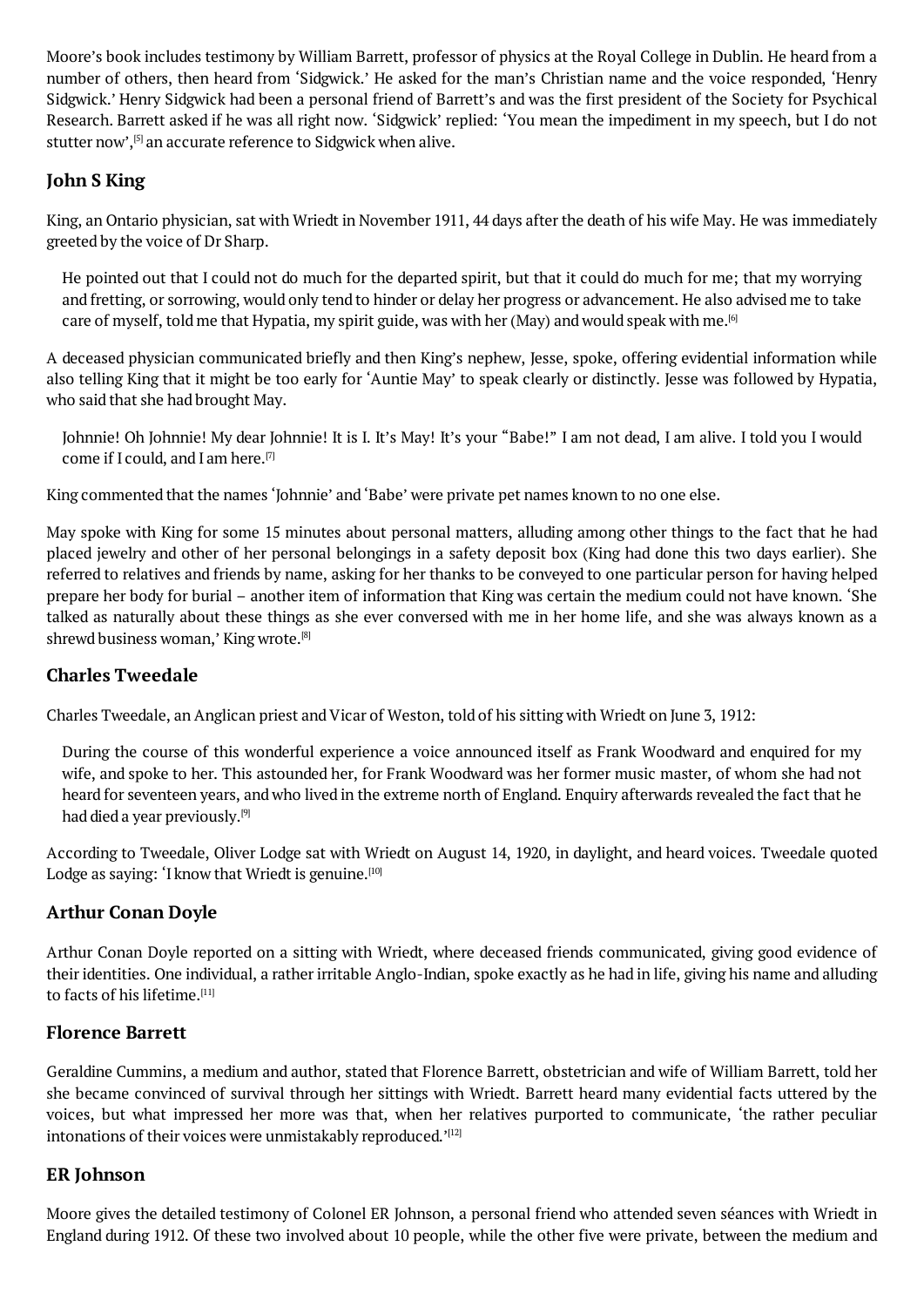number of others, then heard from 'Sidgwick.' He asked for the man's Christian name and the voice responded, 'Henry Sidgwick.' Henry Sidgwick had been a personal friend of Barrett's and was the first president of the Society for Psychical Research. Barrett asked if he was all right now. 'Sidgwick' replied: 'You mean the impediment in my speech, but I do not stutter now', [5] an accurate reference to Sidgwick when alive.

### **John S King**

King, an Ont[ar](#page-0-0)io physician, sat with Wriedt in November 1911, 44 days after the death of his wife May. He was immediately greeted by the voice of Dr Sharp.

He pointed out that I could not do much for the departed spirit, but that it could do much for me; that my worrying and fretting, or sorrowing, would only tend to hinder or delay her progress or advancement. He also advised me to take care of myself, told me that Hypatia, my spirit guide, was with her (May) and would speak with me.<sup>[6]</sup>

A deceased physician communicated briefly and then King's nephew, Jesse, spoke, offering evidential information while also telling King that it might be too early for 'Auntie May' to speak clearly or distinctly. Jesse was followed by Hypatia, who said that she had brought May.

Johnnie! Oh Johnnie! My dear Johnnie! It is I. It's May! It's your "Babe!" I am not dead, I am alive. I told you I would come if I could, and I am here. [7]

King commented that the names 'Johnnie' and 'Babe' were private pet names known to no one else.

May spoke with King for some [15](#page-0-0) minutes about personal matters, alluding among other things to the fact that he had placed jewelry and other of her personal belongings in a safety deposit box (King had done this two days earlier). She referred to relatives and friends by name, asking for her thanks to be conveyed to one particular person for having helped prepare her body for burial – another item of information that King was certain the medium could not have known. 'She talked as naturally about these things as she ever conversed with me in her home life, and she was always known as a shrewd business woman,' King wrote. [8]

#### **Charles Tweedale**

Charles Tweedale, [an](#page-0-0) Anglican priest and Vicar of Weston, told of his sitting with Wriedt on June 3, 1912:

During the course of this wonderful experience a voice announced itself as Frank Woodward and enquired for my wife, and spoke to her. This astounded her, for Frank Woodward was her former music master, of whom she had not heard for seventeen years, and who lived in the extreme north of England. Enquiry afterwards revealed the fact that he had died a year previously. [9]

According to Tweedale, Oliver Lodge sat with Wriedt on August 14, 1920, in daylight, and heard voices. Tweedale quoted Lodge as saying: 'I know that Wriedt is genuine. $^{\text{\tiny{[10]}}}$ 

### **Arthur Conan Doyle**

Arthur Conan Doyle reported on a sitting wit[h](#page-0-0) Wriedt, where deceased friends communicated, giving good evidence of their identities. One individual, a rather irritable Anglo-Indian, spoke exactly as he had in life, giving his name and alluding to facts of his lifetime. [11]

### **Florence Barrett**

Geraldine Cummins, a [m](#page-0-0)edium and author, stated that Florence Barrett, obstetrician and wife of William Barrett, told her she became convinced of survival through her sittings with Wriedt. Barrett heard many evidential facts uttered by the voices, but what impressed her more was that, when her relatives purported to communicate, 'the rather peculiar intonations of their voices were unmistakably reproduced.' $^{\left[ 12\right] }$ 

#### **ER Johnson**

Moore gives the detailed testimony of Colonel ER Johnso[n,](#page-0-0) a personal friend who attended seven séances with Wriedt in England during 1912. Of these two involved about 10 people, while the other five were private, between the medium and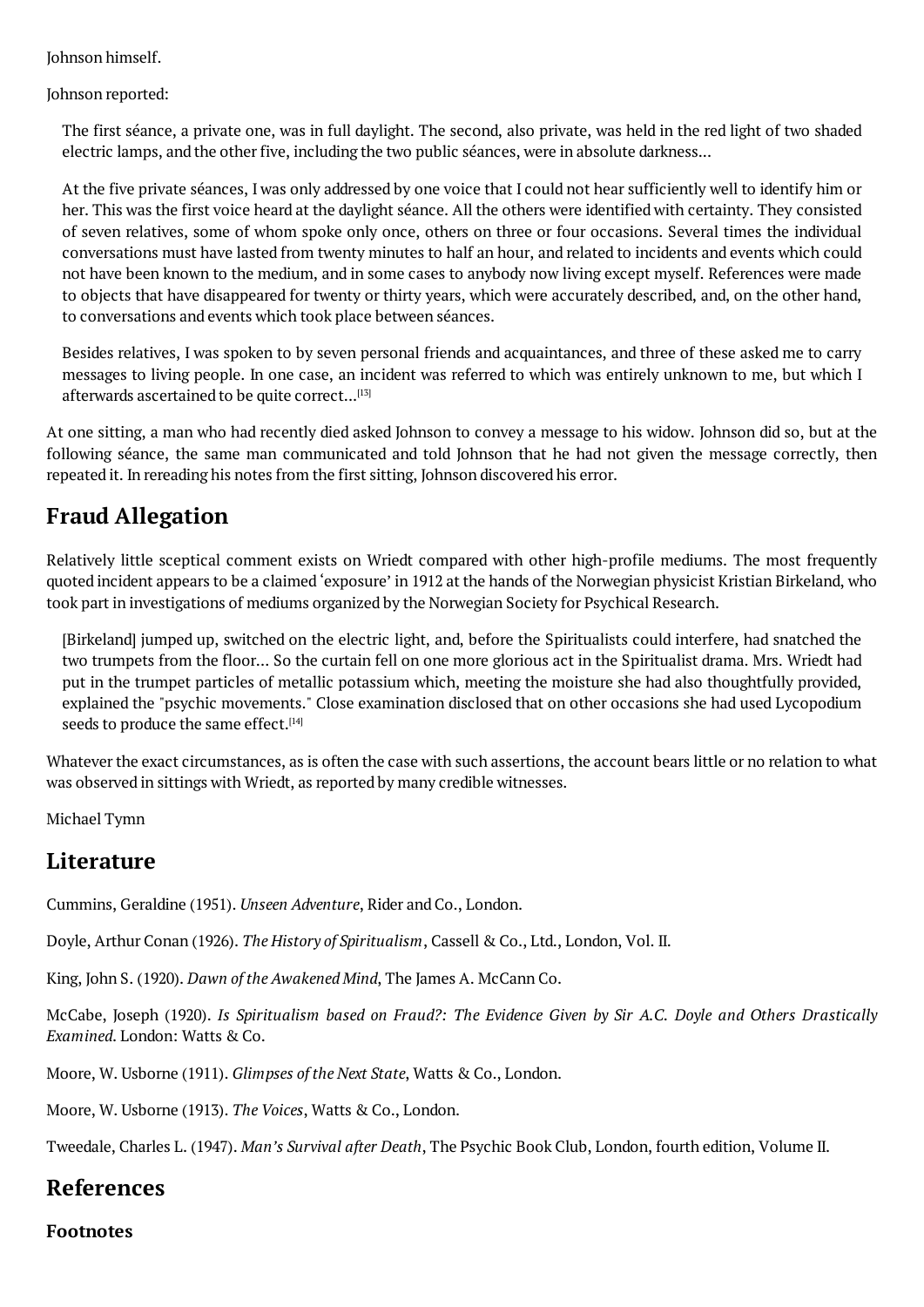Johnson reported:

The first séance, a private one, was in full daylight. The second, also private, was held in the red light of two shaded electric lamps, and the other five, including the two public séances, were in absolute darkness...

At the five private séances, I was only addressed by one voice that I could not hear sufficiently well to identify him or her. This was the first voice heard at the daylight séance. All the others were identified with certainty. They consisted of seven relatives, some of whom spoke only once, others on three or four occasions. Several times the individual conversations must have lasted from twenty minutes to half an hour, and related to incidents and events which could not have been known to the medium, and in some cases to anybody now living except myself. References were made to objects that have disappeared for twenty or thirty years, which were accurately described, and, on the other hand, to conversations and events which took place between séances.

Besides relatives, I was spoken to by seven personal friends and acquaintances, and three of these asked me to carry messages to living people. In one case, an incident was referred to which was entirely unknown to me, but which I afterwards ascertained to be quite correct...<sup>[13]</sup>

At one sitting, a man who had recently died asked Johnson to convey a message to his widow. Johnson did so, but at the following séance, the same man communicated and told Johnson that he had not given the message correctly, then repeated it. In rereading his notes from the fir[st](#page-0-0) sitting, Johnson discovered his error.

## **Fraud Allegation**

Relatively little sceptical comment exists on Wriedt compared with other high-profile mediums. The most frequently quoted incident appears to be a claimed 'exposure' in 1912 at the hands of the Norwegian physicist Kristian Birkeland, who took part in investigations of mediums organized by the Norwegian Society for Psychical Research.

[Birkeland] jumped up, switched on the electric light, and, before the Spiritualists could interfere, had snatched the two trumpets from the floor... So the curtain fell on one more glorious act in the Spiritualist drama. Mrs. Wriedt had put in the trumpet particles of metallic potassium which, meeting the moisture she had also thoughtfully provided, explained the "psychic movements." Close examination disclosed that on other occasions she had used Lycopodium seeds to produce the same effect.<sup>[14]</sup>

Whatever the exact circumstances, as is often the case with such assertions, the account bears little or no relation to what was observed in sittings with Wriedt, as reported by many credible witnesses.

Michael Tymn

## **Literature**

Cummins, Geraldine (1951). *Unseen Adventure*, Rider and Co., London.

Doyle, Arthur Conan (1926). *The History of Spiritualism*, Cassell & Co., Ltd., London, Vol. II.

King, John S. (1920). *Dawn of the Awakened Mind*, The James A. McCann Co.

McCabe, Joseph (1920). *Is Spiritualism based on Fraud?: The Evidence Given by Sir A.C. Doyle and Others Drastically Examined*. London: Watts & Co.

Moore, W. Usborne (1911). *Glimpses of the Next State*, Watts & Co., London.

Moore, W. Usborne (1913). *The Voices*, Watts & Co., London.

Tweedale, Charles L. (1947). *Man's Survival after Death*, The Psychic Book Club, London, fourth edition, Volume II.

## **References**

#### **Footnotes**